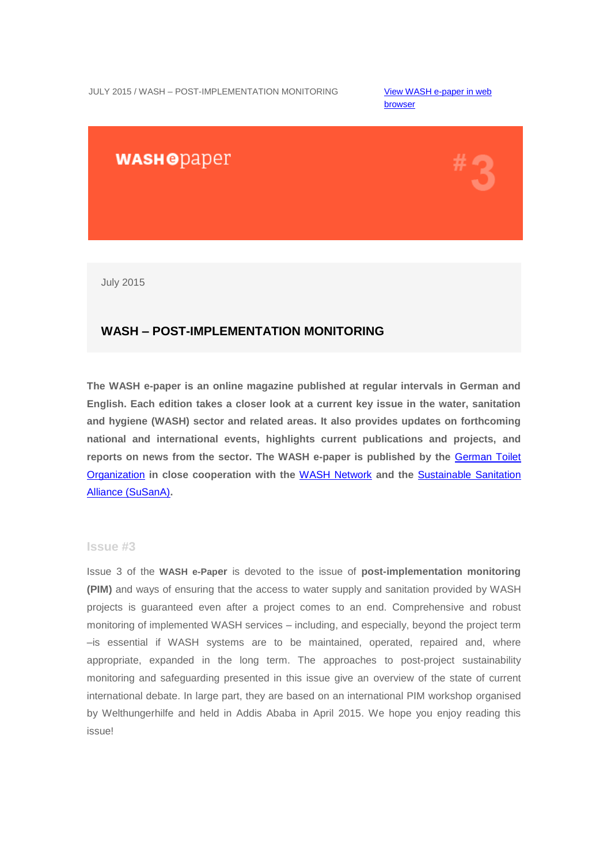[browser](http://us4.campaign-archive2.com/?u=bc3ae3e573afc6e78bf46bfd1&id=ce8d91ef74&e=95dd51893c) 

# **WASHODaper**



July 2015

## **WASH – POST-IMPLEMENTATION MONITORING**

**The WASH e-paper is an online magazine published at regular intervals in German and English. Each edition takes a closer look at a current key issue in the water, sanitation and hygiene (WASH) sector and related areas. It also provides updates on forthcoming national and international events, highlights current publications and projects, and reports on news from the sector. The WASH e-paper is published by the** [German Toilet](http://germantoilet.us4.list-manage.com/track/click?u=bc3ae3e573afc6e78bf46bfd1&id=638fbc1c54&e=95dd51893c)  [Organization](http://germantoilet.us4.list-manage.com/track/click?u=bc3ae3e573afc6e78bf46bfd1&id=638fbc1c54&e=95dd51893c) **in close cooperation with the** [WASH Network](http://germantoilet.us4.list-manage.com/track/click?u=bc3ae3e573afc6e78bf46bfd1&id=823c9fafed&e=95dd51893c) **and the** [Sustainable Sanitation](http://germantoilet.us4.list-manage2.com/track/click?u=bc3ae3e573afc6e78bf46bfd1&id=44dc3975e5&e=95dd51893c)  [Alliance](http://germantoilet.us4.list-manage2.com/track/click?u=bc3ae3e573afc6e78bf46bfd1&id=44dc3975e5&e=95dd51893c) (SuSanA)**.**

## **Issue #3**

Issue 3 of the **WASH e-Paper** is devoted to the issue of **post-implementation monitoring (PIM)** and ways of ensuring that the access to water supply and sanitation provided by WASH projects is guaranteed even after a project comes to an end. Comprehensive and robust monitoring of implemented WASH services – including, and especially, beyond the project term –is essential if WASH systems are to be maintained, operated, repaired and, where appropriate, expanded in the long term. The approaches to post-project sustainability monitoring and safeguarding presented in this issue give an overview of the state of current international debate. In large part, they are based on an international PIM workshop organised by Welthungerhilfe and held in Addis Ababa in April 2015. We hope you enjoy reading this issue!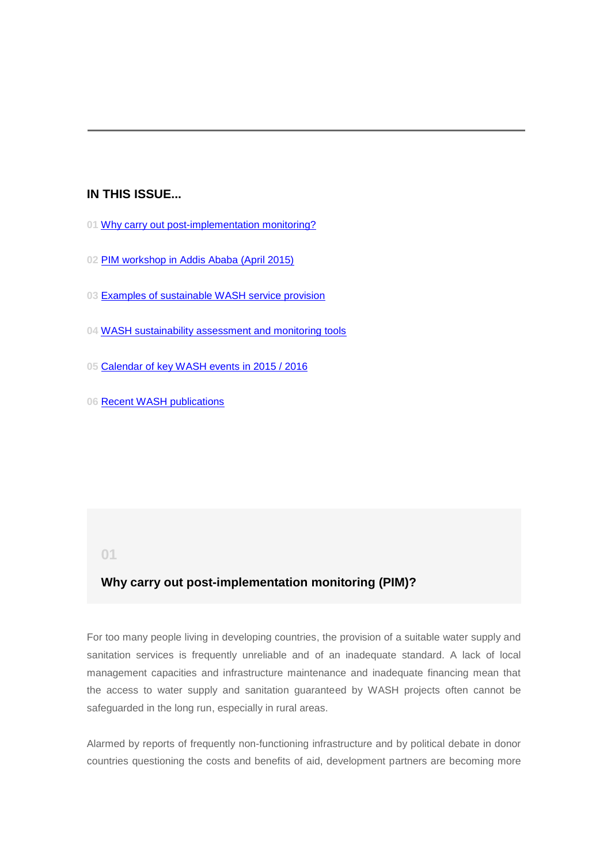## **IN THIS ISSUE...**

- **01** [Why carry out post-implementation monitoring?](#page-1-0)
- **02** [PIM workshop in Addis Ababa \(April 2015\)](#page-3-0)
- **03** [Examples of sustainable WASH service provision](#page-5-0)
- **04** [WASH sustainability assessment and monitoring tools](#page-7-0)
- **05** [Calendar of key WASH events in 2015 / 2016](#page-10-0)
- **06** [Recent WASH publications](#page-13-0)

### <span id="page-1-0"></span>**01**

## **Why carry out post-implementation monitoring (PIM)?**

For too many people living in developing countries, the provision of a suitable water supply and sanitation services is frequently unreliable and of an inadequate standard. A lack of local management capacities and infrastructure maintenance and inadequate financing mean that the access to water supply and sanitation guaranteed by WASH projects often cannot be safeguarded in the long run, especially in rural areas.

Alarmed by reports of frequently non-functioning infrastructure and by political debate in donor countries questioning the costs and benefits of aid, development partners are becoming more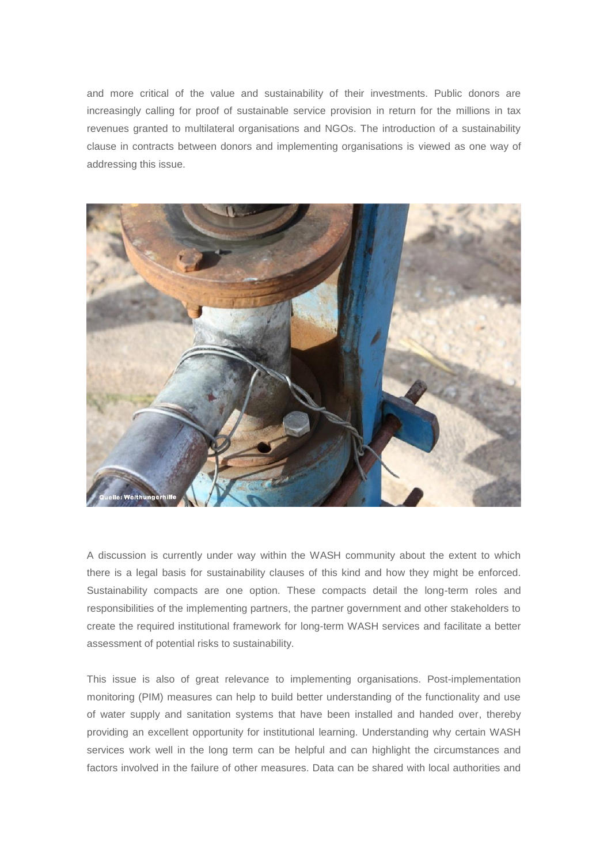and more critical of the value and sustainability of their investments. Public donors are increasingly calling for proof of sustainable service provision in return for the millions in tax revenues granted to multilateral organisations and NGOs. The introduction of a sustainability clause in contracts between donors and implementing organisations is viewed as one way of addressing this issue.



A discussion is currently under way within the WASH community about the extent to which there is a legal basis for sustainability clauses of this kind and how they might be enforced. Sustainability compacts are one option. These compacts detail the long-term roles and responsibilities of the implementing partners, the partner government and other stakeholders to create the required institutional framework for long-term WASH services and facilitate a better assessment of potential risks to sustainability.

This issue is also of great relevance to implementing organisations. Post-implementation monitoring (PIM) measures can help to build better understanding of the functionality and use of water supply and sanitation systems that have been installed and handed over, thereby providing an excellent opportunity for institutional learning. Understanding why certain WASH services work well in the long term can be helpful and can highlight the circumstances and factors involved in the failure of other measures. Data can be shared with local authorities and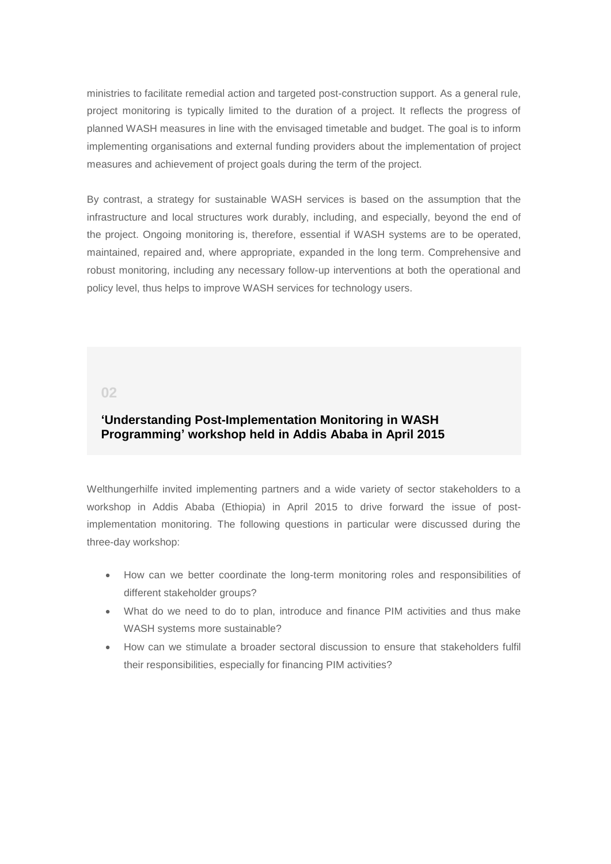ministries to facilitate remedial action and targeted post-construction support. As a general rule, project monitoring is typically limited to the duration of a project. It reflects the progress of planned WASH measures in line with the envisaged timetable and budget. The goal is to inform implementing organisations and external funding providers about the implementation of project measures and achievement of project goals during the term of the project.

By contrast, a strategy for sustainable WASH services is based on the assumption that the infrastructure and local structures work durably, including, and especially, beyond the end of the project. Ongoing monitoring is, therefore, essential if WASH systems are to be operated, maintained, repaired and, where appropriate, expanded in the long term. Comprehensive and robust monitoring, including any necessary follow-up interventions at both the operational and policy level, thus helps to improve WASH services for technology users.

### <span id="page-3-0"></span>**02**

## **'Understanding Post-Implementation Monitoring in WASH Programming' workshop held in Addis Ababa in April 2015**

Welthungerhilfe invited implementing partners and a wide variety of sector stakeholders to a workshop in Addis Ababa (Ethiopia) in April 2015 to drive forward the issue of postimplementation monitoring. The following questions in particular were discussed during the three-day workshop:

- How can we better coordinate the long-term monitoring roles and responsibilities of different stakeholder groups?
- What do we need to do to plan, introduce and finance PIM activities and thus make WASH systems more sustainable?
- How can we stimulate a broader sectoral discussion to ensure that stakeholders fulfil their responsibilities, especially for financing PIM activities?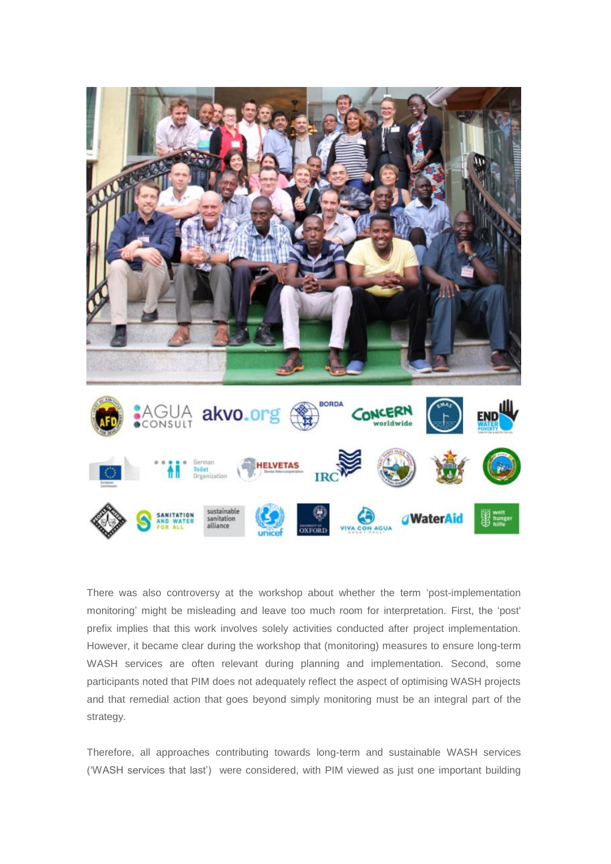

There was also controversy at the workshop about whether the term 'post-implementation monitoring' might be misleading and leave too much room for interpretation. First, the 'post' prefix implies that this work involves solely activities conducted after project implementation. However, it became clear during the workshop that (monitoring) measures to ensure long-term WASH services are often relevant during planning and implementation. Second, some participants noted that PIM does not adequately reflect the aspect of optimising WASH projects and that remedial action that goes beyond simply monitoring must be an integral part of the strategy.

Therefore, all approaches contributing towards long-term and sustainable WASH services ('WASH services that last') were considered, with PIM viewed as just one important building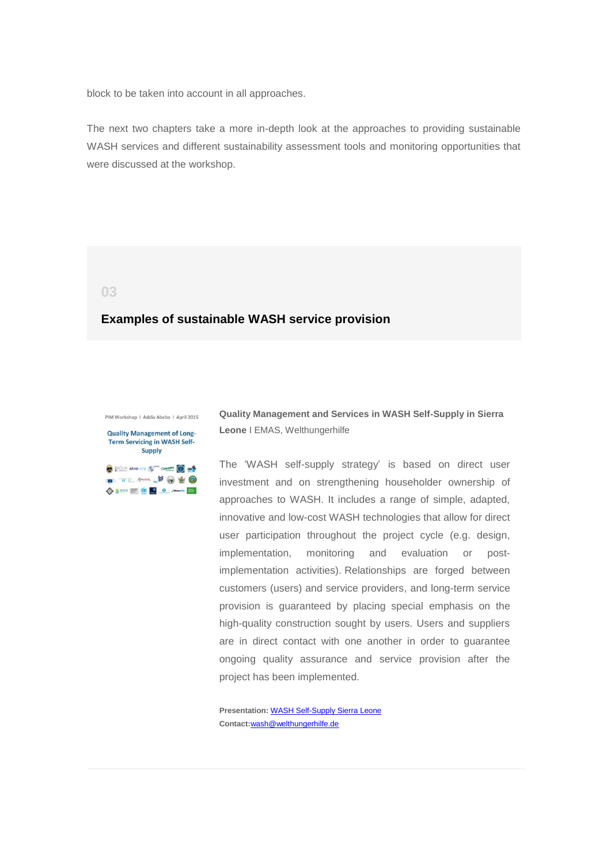block to be taken into account in all approaches.

The next two chapters take a more in-depth look at the approaches to providing sustainable WASH services and different sustainability assessment tools and monitoring opportunities that were discussed at the workshop.

### <span id="page-5-0"></span>**03**

## **Examples of sustainable WASH service provision**

PIM Workshop | Addis Abeba | April 2015

**Quality Management of Long-**Term Servicing in WASH Self-**Supply** AGUA akvo.org Compete Compete

**DE THE REAL PROPERTY OF GR ◆8 == = © 9 0 mm** 

**Quality Management and Services in WASH Self-Supply in Sierra Leone** I EMAS, Welthungerhilfe

The 'WASH self-supply strategy' is based on direct user investment and on strengthening householder ownership of approaches to WASH. It includes a range of simple, adapted, innovative and low-cost WASH technologies that allow for direct user participation throughout the project cycle (e.g. design, implementation, monitoring and evaluation or postimplementation activities). Relationships are forged between customers (users) and service providers, and long-term service provision is guaranteed by placing special emphasis on the high-quality construction sought by users. Users and suppliers are in direct contact with one another in order to guarantee ongoing quality assurance and service provision after the project has been implemented.

**Presentation:** [WASH Self-Supply Sierra Leone](http://germantoilet.us4.list-manage.com/track/click?u=bc3ae3e573afc6e78bf46bfd1&id=4937185805&e=95dd51893c) **Contact:**[wash@welthungerhilfe.de](mailto:wash@welthungerhilfe.de)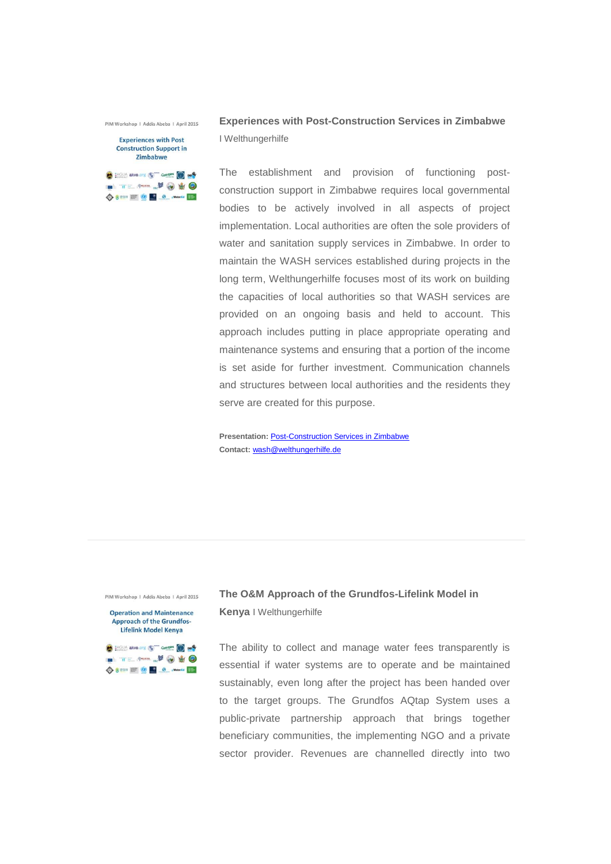PIM Workshop | Addis Abeba | April 2015

### **Experiences with Post Construction Support in 7imhahwe**



**Experiences with Post-Construction Services in Zimbabwe**  I Welthungerhilfe

The establishment and provision of functioning postconstruction support in Zimbabwe requires local governmental bodies to be actively involved in all aspects of project implementation. Local authorities are often the sole providers of water and sanitation supply services in Zimbabwe. In order to maintain the WASH services established during projects in the long term, Welthungerhilfe focuses most of its work on building the capacities of local authorities so that WASH services are provided on an ongoing basis and held to account. This approach includes putting in place appropriate operating and maintenance systems and ensuring that a portion of the income is set aside for further investment. Communication channels and structures between local authorities and the residents they serve are created for this purpose.

**Presentation:** [Post-Construction Services in Zimbabwe](http://germantoilet.us4.list-manage.com/track/click?u=bc3ae3e573afc6e78bf46bfd1&id=8a9e29fb1b&e=95dd51893c) **Contact:** [wash@welthungerhilfe.de](mailto:wash@welthungerhilfe.de)

PIM Workshop | Addis Abeba | April 2015

**Operation and Maintenance Approach of the Grundfos-Lifelink Model Kenya** 

**COMPASSION ARVOLUME COMPANY COMPANY** ◇ 8 == = © <u>● 8</u> material E=

# **The O&M Approach of the Grundfos-Lifelink Model in Kenya** I Welthungerhilfe

The ability to collect and manage water fees transparently is essential if water systems are to operate and be maintained sustainably, even long after the project has been handed over to the target groups. The Grundfos AQtap System uses a public-private partnership approach that brings together beneficiary communities, the implementing NGO and a private sector provider. Revenues are channelled directly into two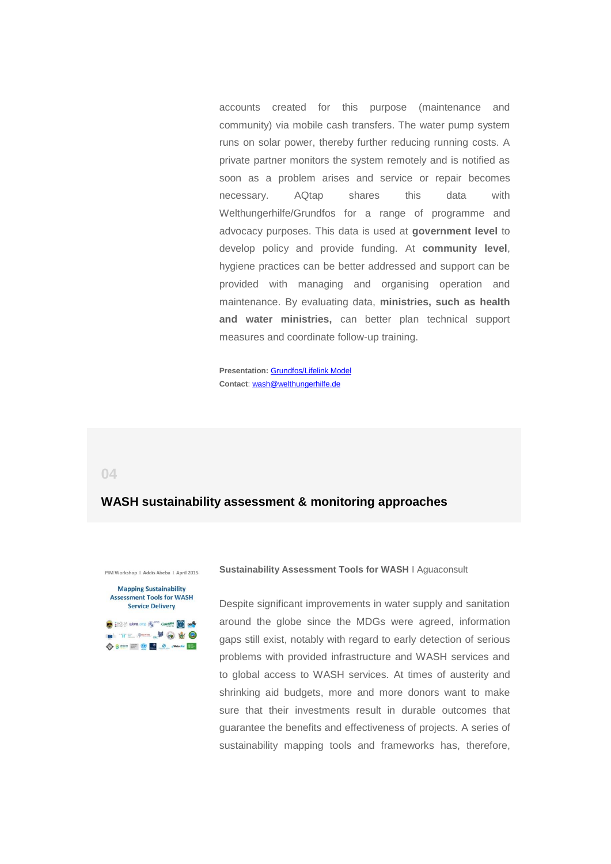accounts created for this purpose (maintenance and community) via mobile cash transfers. The water pump system runs on solar power, thereby further reducing running costs. A private partner monitors the system remotely and is notified as soon as a problem arises and service or repair becomes necessary. AQtap shares this data with Welthungerhilfe/Grundfos for a range of programme and advocacy purposes. This data is used at **government level** to develop policy and provide funding. At **community level**, hygiene practices can be better addressed and support can be provided with managing and organising operation and maintenance. By evaluating data, **ministries, such as health and water ministries,** can better plan technical support measures and coordinate follow-up training.

**Presentation:** [Grundfos/Lifelink Model](http://germantoilet.us4.list-manage1.com/track/click?u=bc3ae3e573afc6e78bf46bfd1&id=4a7b248ade&e=95dd51893c) **Contact**: [wash@welthungerhilfe.de](mailto:wash@welthungerhilfe.de)

### <span id="page-7-0"></span>**04**

## **WASH sustainability assessment & monitoring approaches**

#### PIM Workshop | Addis Abeba | April 2015



◆ 8 == = © <u>● 8</u> × www. **Sustainability Assessment Tools for WASH** I Aguaconsult

Despite significant improvements in water supply and sanitation around the globe since the MDGs were agreed, information gaps still exist, notably with regard to early detection of serious problems with provided infrastructure and WASH services and to global access to WASH services. At times of austerity and shrinking aid budgets, more and more donors want to make sure that their investments result in durable outcomes that guarantee the benefits and effectiveness of projects. A series of sustainability mapping tools and frameworks has, therefore,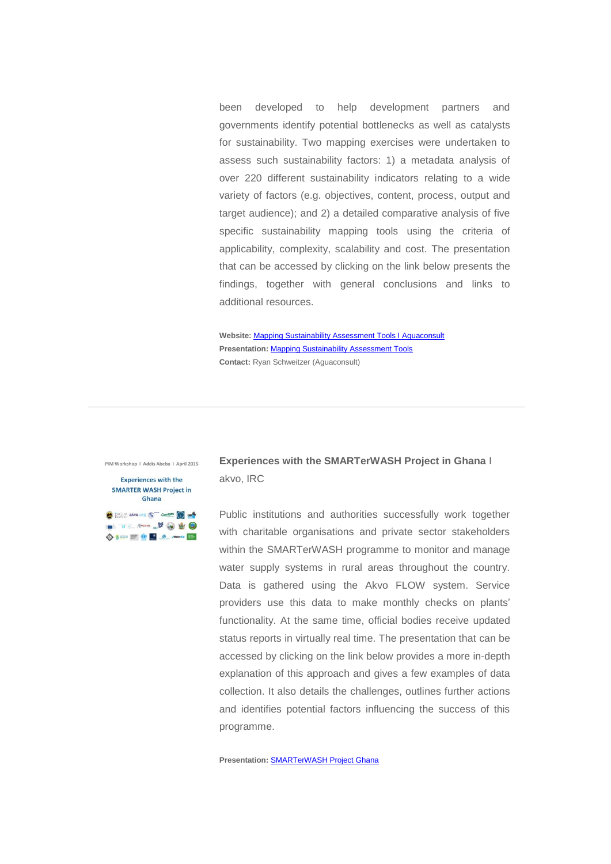been developed to help development partners and governments identify potential bottlenecks as well as catalysts for sustainability. Two mapping exercises were undertaken to assess such sustainability factors: 1) a metadata analysis of over 220 different sustainability indicators relating to a wide variety of factors (e.g. objectives, content, process, output and target audience); and 2) a detailed comparative analysis of five specific sustainability mapping tools using the criteria of applicability, complexity, scalability and cost. The presentation that can be accessed by clicking on the link below presents the findings, together with general conclusions and links to additional resources.

**Website:** [Mapping Sustainability Assessment Tools I Aguaconsult](http://germantoilet.us4.list-manage.com/track/click?u=bc3ae3e573afc6e78bf46bfd1&id=ba42142224&e=95dd51893c) **Presentation:** [Mapping Sustainability Assessment Tools](http://germantoilet.us4.list-manage.com/track/click?u=bc3ae3e573afc6e78bf46bfd1&id=5057855d68&e=95dd51893c) **Contact:** Ryan Schweitzer (Aguaconsult)

PIM Workshop | Addis Abeba | April 2015

#### **Experiences with the SMARTER WASH Project in** Ghana

**TO EASUA akvouant to CONCERN CONDUCTS** . . . . . . . . . . . . 0  **Experiences with the SMARTerWASH Project in Ghana** I akvo, IRC

Public institutions and authorities successfully work together with charitable organisations and private sector stakeholders within the SMARTerWASH programme to monitor and manage water supply systems in rural areas throughout the country. Data is gathered using the Akvo FLOW system. Service providers use this data to make monthly checks on plants' functionality. At the same time, official bodies receive updated status reports in virtually real time. The presentation that can be accessed by clicking on the link below provides a more in-depth explanation of this approach and gives a few examples of data collection. It also details the challenges, outlines further actions and identifies potential factors influencing the success of this programme.

**Presentation:** [SMARTerWASH Project Ghana](http://germantoilet.us4.list-manage.com/track/click?u=bc3ae3e573afc6e78bf46bfd1&id=a7b1fb0db3&e=95dd51893c)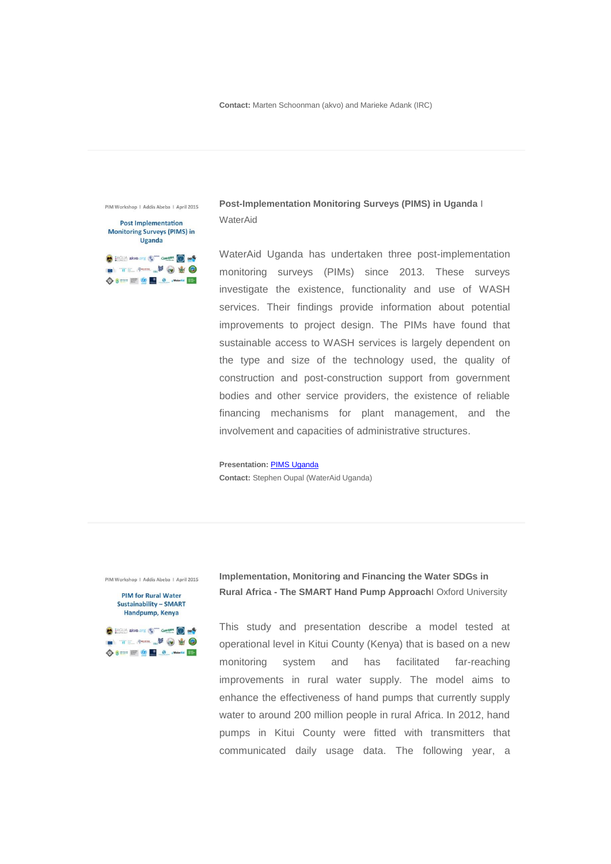PIM Workshop | Addis Abeba | April 2015

| <b>Post Implementation</b><br><b>Monitoring Surveys (PIMS) in</b><br>Uganda |
|-----------------------------------------------------------------------------|
| A akvo.org<br>END                                                           |
|                                                                             |

**Post-Implementation Monitoring Surveys (PIMS) in Uganda** I WaterAid

WaterAid Uganda has undertaken three post-implementation monitoring surveys (PIMs) since 2013. These surveys investigate the existence, functionality and use of WASH services. Their findings provide information about potential improvements to project design. The PIMs have found that sustainable access to WASH services is largely dependent on the type and size of the technology used, the quality of construction and post-construction support from government bodies and other service providers, the existence of reliable financing mechanisms for plant management, and the involvement and capacities of administrative structures.

**Presentation:** [PIMS Uganda](http://germantoilet.us4.list-manage.com/track/click?u=bc3ae3e573afc6e78bf46bfd1&id=270863ac5a&e=95dd51893c) **Contact:** Stephen Oupal (WaterAid Uganda)

PIM Workshop | Addis Abeba | April 2015

**PIM for Rural Water Sustainability - SMART** Handpump, Kenya **10** HOUA akvo.org **10** CONCERN **CONDUCTS** 

DE THE REAL PROPERTY OF C ◆8 == = 9 9 9 mm **Implementation, Monitoring and Financing the Water SDGs in Rural Africa - The SMART Hand Pump Approach**I Oxford University

This study and presentation describe a model tested at operational level in Kitui County (Kenya) that is based on a new monitoring system and has facilitated far-reaching improvements in rural water supply. The model aims to enhance the effectiveness of hand pumps that currently supply water to around 200 million people in rural Africa. In 2012, hand pumps in Kitui County were fitted with transmitters that communicated daily usage data. The following year, a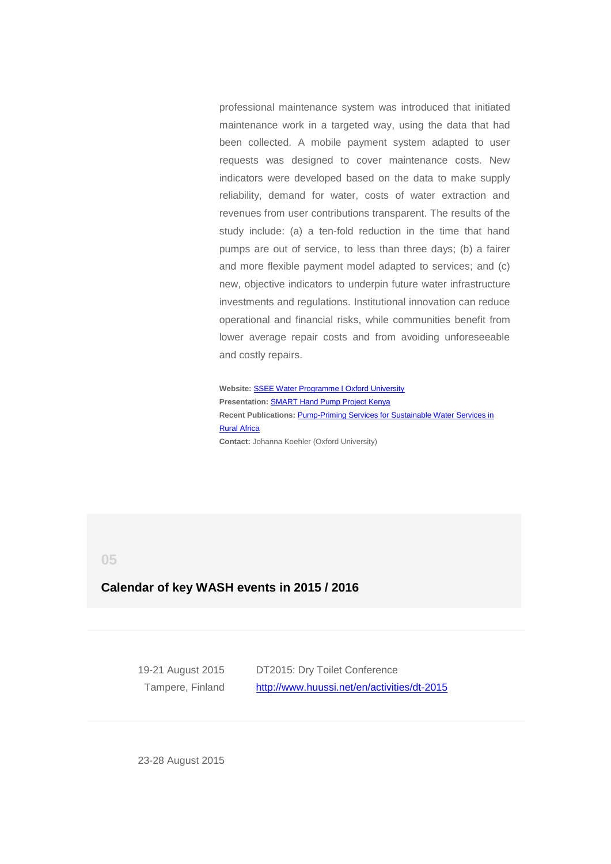professional maintenance system was introduced that initiated maintenance work in a targeted way, using the data that had been collected. A mobile payment system adapted to user requests was designed to cover maintenance costs. New indicators were developed based on the data to make supply reliability, demand for water, costs of water extraction and revenues from user contributions transparent. The results of the study include: (a) a ten-fold reduction in the time that hand pumps are out of service, to less than three days; (b) a fairer and more flexible payment model adapted to services; and (c) new, objective indicators to underpin future water infrastructure investments and regulations. Institutional innovation can reduce operational and financial risks, while communities benefit from lower average repair costs and from avoiding unforeseeable and costly repairs.

**Website:** [SSEE Water Programme I Oxford University](http://germantoilet.us4.list-manage.com/track/click?u=bc3ae3e573afc6e78bf46bfd1&id=78d11d7a97&e=95dd51893c) **Presentation:** [SMART Hand Pump Project Kenya](http://germantoilet.us4.list-manage.com/track/click?u=bc3ae3e573afc6e78bf46bfd1&id=7c067725a6&e=95dd51893c) **Recent Publications:** [Pump-Priming Services for Sustainable Water Services in](http://germantoilet.us4.list-manage1.com/track/click?u=bc3ae3e573afc6e78bf46bfd1&id=f57b8546d2&e=95dd51893c)  [Rural Africa](http://germantoilet.us4.list-manage1.com/track/click?u=bc3ae3e573afc6e78bf46bfd1&id=f57b8546d2&e=95dd51893c) **Contact:** Johanna Koehler (Oxford University)

<span id="page-10-0"></span>**05**

## **Calendar of key WASH events in 2015 / 2016**

19-21 August 2015 Tampere, Finland

DT2015: Dry Toilet Conference [http://www.huussi.net/en/activities/dt-2015](http://germantoilet.us4.list-manage.com/track/click?u=bc3ae3e573afc6e78bf46bfd1&id=8227ed2460&e=95dd51893c)

23-28 August 2015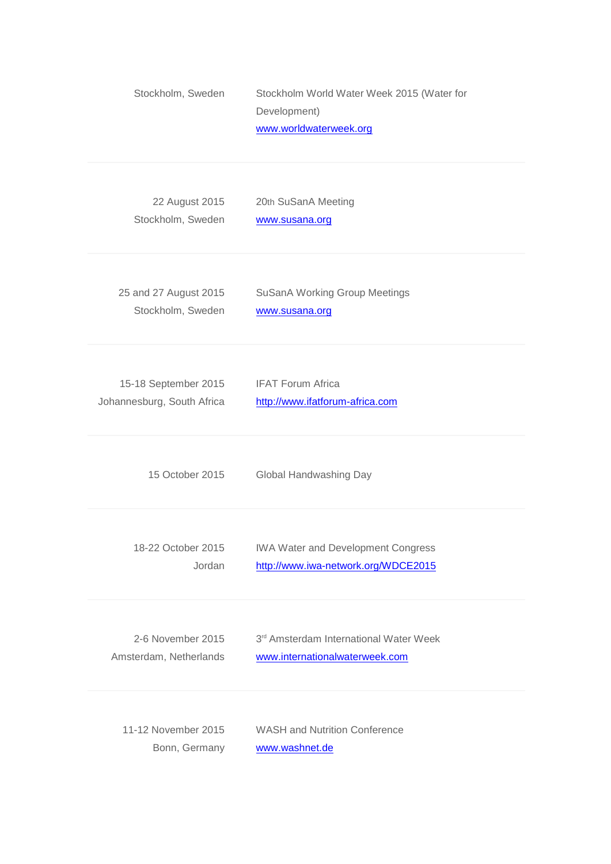| Stockholm, Sweden          | Stockholm World Water Week 2015 (Water for<br>Development)<br>www.worldwaterweek.org |
|----------------------------|--------------------------------------------------------------------------------------|
| 22 August 2015             | 20th SuSanA Meeting                                                                  |
| Stockholm, Sweden          | www.susana.org                                                                       |
| 25 and 27 August 2015      | <b>SuSanA Working Group Meetings</b>                                                 |
| Stockholm, Sweden          | www.susana.org                                                                       |
| 15-18 September 2015       | <b>IFAT Forum Africa</b>                                                             |
| Johannesburg, South Africa | http://www.ifatforum-africa.com                                                      |
| 15 October 2015            | Global Handwashing Day                                                               |
| 18-22 October 2015         | <b>IWA Water and Development Congress</b>                                            |
| Jordan                     | http://www.iwa-network.org/WDCE2015                                                  |
| 2-6 November 2015          | 3rd Amsterdam International Water Week                                               |
| Amsterdam, Netherlands     | www.internationalwaterweek.com                                                       |
| 11-12 November 2015        | <b>WASH and Nutrition Conference</b>                                                 |
| Bonn, Germany              | www.washnet.de                                                                       |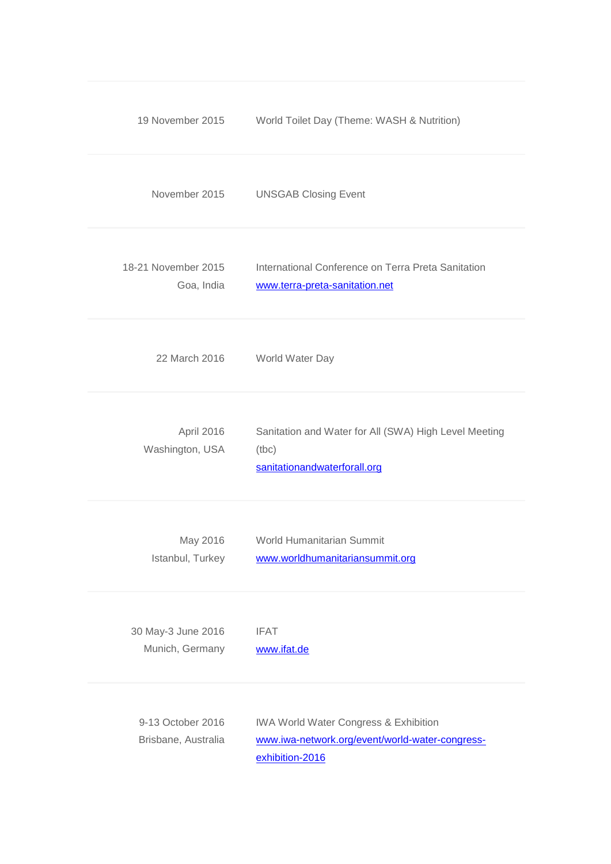| 19 November 2015                         | World Toilet Day (Theme: WASH & Nutrition)                                                                             |
|------------------------------------------|------------------------------------------------------------------------------------------------------------------------|
| November 2015                            | <b>UNSGAB Closing Event</b>                                                                                            |
| 18-21 November 2015<br>Goa, India        | International Conference on Terra Preta Sanitation<br>www.terra-preta-sanitation.net                                   |
| 22 March 2016                            | World Water Day                                                                                                        |
| April 2016<br>Washington, USA            | Sanitation and Water for All (SWA) High Level Meeting<br>(tbc)<br>sanitationandwaterforall.org                         |
| May 2016<br>Istanbul, Turkey             | World Humanitarian Summit<br>www.worldhumanitariansummit.org                                                           |
| 30 May-3 June 2016<br>Munich, Germany    | <b>IFAT</b><br>www.ifat.de                                                                                             |
| 9-13 October 2016<br>Brisbane, Australia | <b>IWA World Water Congress &amp; Exhibition</b><br>www.iwa-network.org/event/world-water-congress-<br>exhibition-2016 |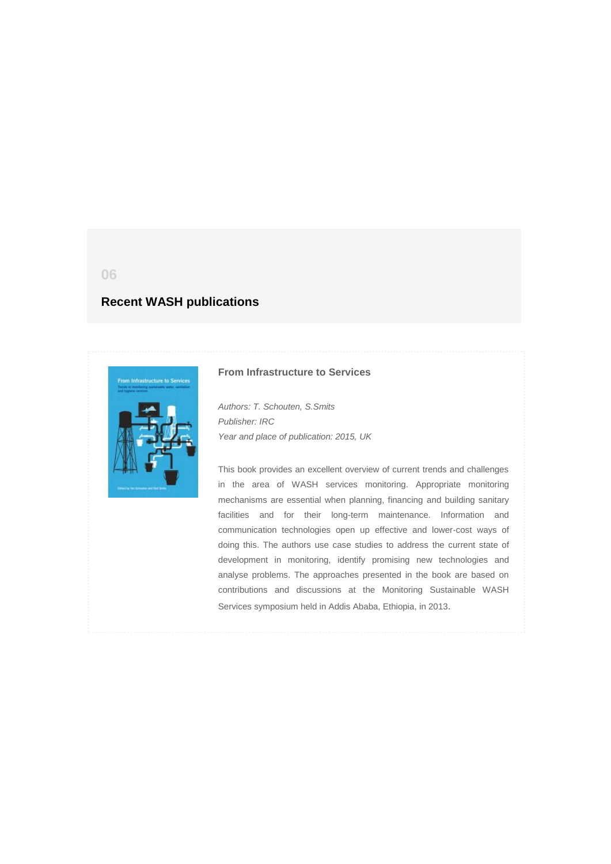# <span id="page-13-0"></span>**Recent WASH publications**



### **From Infrastructure to Services**

*Authors: T. Schouten, S.Smits Publisher: IRC Year and place of publication: 2015, UK*

This book provides an excellent overview of current trends and challenges in the area of WASH services monitoring. Appropriate monitoring mechanisms are essential when planning, financing and building sanitary facilities and for their long-term maintenance. Information and communication technologies open up effective and lower-cost ways of doing this. The authors use case studies to address the current state of development in monitoring, identify promising new technologies and analyse problems. The approaches presented in the book are based on contributions and discussions at the Monitoring Sustainable WASH Services symposium held in Addis Ababa, Ethiopia, in 2013.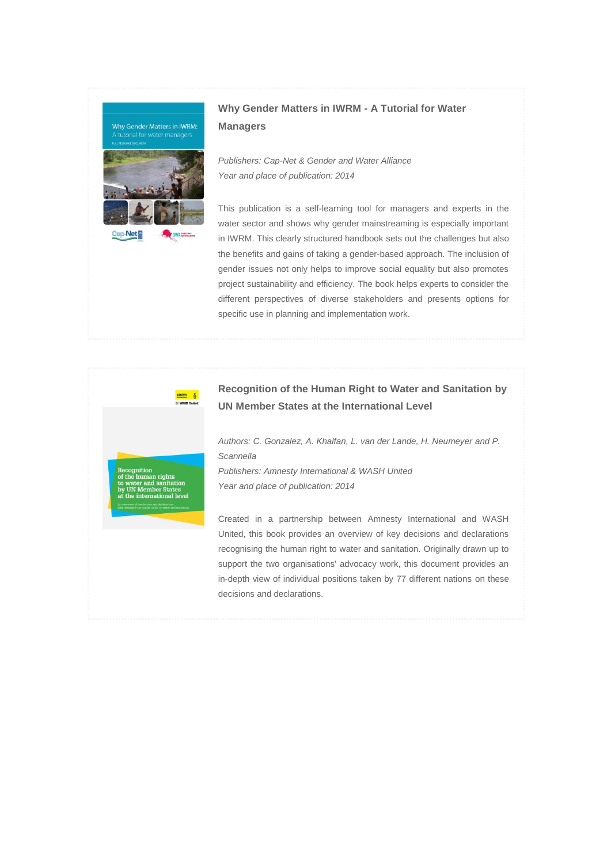

# **Why Gender Matters in IWRM - A Tutorial for Water Managers**

*Publishers: Cap-Net & Gender and Water Alliance Year and place of publication: 2014*

This publication is a self-learning tool for managers and experts in the water sector and shows why gender mainstreaming is especially important in IWRM. This clearly structured handbook sets out the challenges but also the benefits and gains of taking a gender-based approach. The inclusion of gender issues not only helps to improve social equality but also promotes project sustainability and efficiency. The book helps experts to consider the different perspectives of diverse stakeholders and presents options for specific use in planning and implementation work.



# **Recognition of the Human Right to Water and Sanitation by UN Member States at the International Level**

*Authors: C. Gonzalez, A. Khalfan, L. van der Lande, H. Neumeyer and P. Scannella*

*Publishers: Amnesty International & WASH United Year and place of publication: 2014*

Created in a partnership between Amnesty International and WASH United, this book provides an overview of key decisions and declarations recognising the human right to water and sanitation. Originally drawn up to support the two organisations' advocacy work, this document provides an in-depth view of individual positions taken by 77 different nations on these decisions and declarations.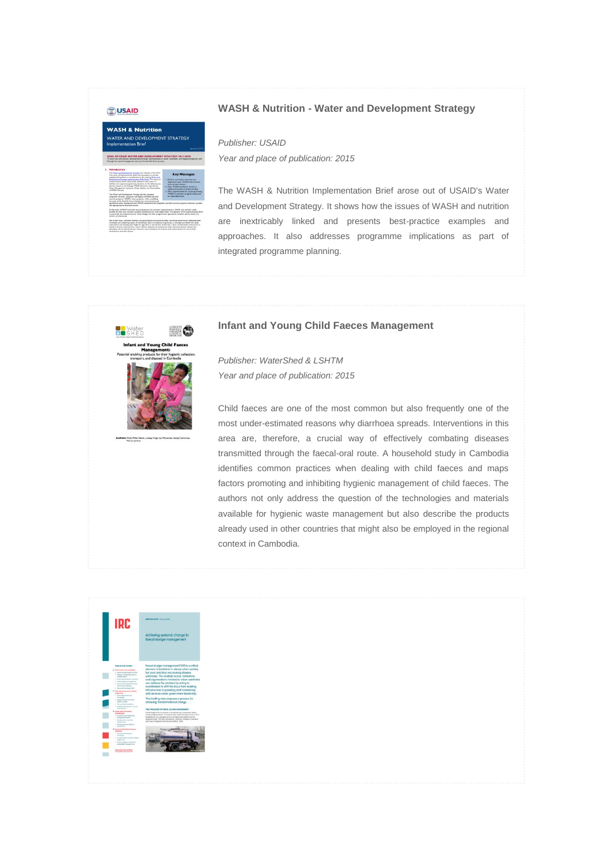

### **WASH & Nutrition - Water and Development Strategy**

*Publisher: USAID Year and place of publication: 2015*

The WASH & Nutrition Implementation Brief arose out of USAID's Water and Development Strategy. It shows how the issues of WASH and nutrition are inextricably linked and presents best-practice examples and approaches. It also addresses programme implications as part of integrated programme planning.

### **Infant and Young Child Faeces Management**



*Publisher: WaterShed & LSHTM Year and place of publication: 2015*

Child faeces are one of the most common but also frequently one of the most under-estimated reasons why diarrhoea spreads. Interventions in this area are, therefore, a crucial way of effectively combating diseases transmitted through the faecal-oral route. A household study in Cambodia identifies common practices when dealing with child faeces and maps factors promoting and inhibiting hygienic management of child faeces. The authors not only address the question of the technologies and materials available for hygienic waste management but also describe the products already used in other countries that might also be employed in the regional context in Cambodia.